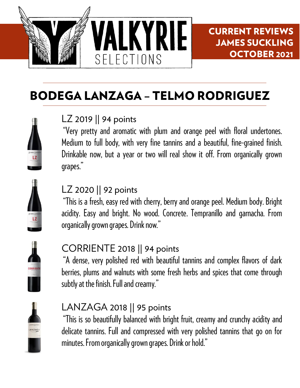

CURRENT REVIEWS JAMES SUCKLING OCTOBER 2021

# BODEGA LANZAGA – TELMO RODRIGUEZ

#### LZ 2019 || 94 points

"Very pretty and aromatic with plum and orange peel with floral undertones. Medium to full body, with very fine tannins and a beautiful, fine-grained finish. Drinkable now, but a year or two will real show it off. From organically grown grapes."

#### LZ 2020 || 92 points

"This is a fresh, easy red with cherry, berry and orange peel. Medium body. Bright acidity. Easy and bright. No wood. Concrete. Tempranillo and garnacha. From organically grown grapes. Drink now."



## CORRIENTE 2018 || 94 points

"A dense, very polished red with beautiful tannins and complex flavors of dark berries, plums and walnuts with some fresh herbs and spices that come through subtly at the finish. Full and creamy."



#### LANZAGA 2018 || 95 points

"This is so beautifully balanced with bright fruit, creamy and crunchy acidity and delicate tannins. Full and compressed with very polished tannins that go on for minutes. From organically grown grapes. Drink or hold."